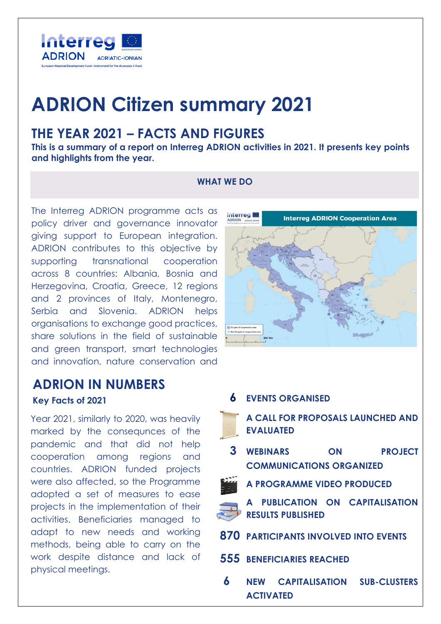

# **ADRION Citizen summary 2021**

# **THE YEAR 2021 – FACTS AND FIGURES**

**This is a summary of a report on Interreg ADRION activities in 2021. It presents key points and highlights from the year.**

#### **WHAT WE DO**

The Interreg ADRION programme acts as policy driver and governance innovator giving support to European integration. ADRION contributes to this objective by supporting transnational cooperation across 8 countries: Albania, Bosnia and Herzegovina, Croatia, Greece, 12 regions and 2 provinces of Italy, Montenegro, Serbia and Slovenia. ADRION helps organisations to exchange good practices, share solutions in the field of sustainable and green transport, smart technologies and innovation, nature conservation and

### **ADRION IN NUMBERS Key Facts of <sup>2021</sup> 6 EVENTS ORGANISED**

Year 2021, similarly to 2020, was heavily marked by the consequnces of the pandemic and that did not help cooperation among regions and countries. ADRION funded projects were also affected, so the Programme adopted a set of measures to ease projects in the implementation of their activities. Beneficiaries managed to adapt to new needs and working methods, being able to carry on the work despite distance and lack of physical meetings.



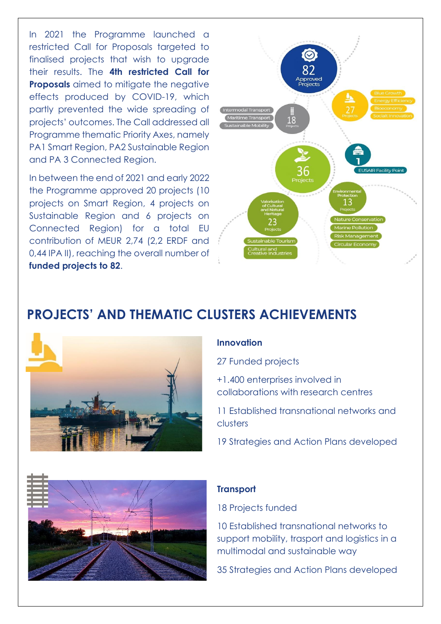In 2021 the Programme launched a restricted Call for Proposals targeted to finalised projects that wish to upgrade their results. The **4th restricted Call for Proposals** aimed to mitigate the negative effects produced by COVID-19, which partly prevented the wide spreading of projects' outcomes. The Call addressed all Programme thematic Priority Axes, namely PA1 Smart Region, PA2 Sustainable Region and PA 3 Connected Region.

In between the end of 2021 and early 2022 the Programme approved 20 projects (10 projects on Smart Region, 4 projects on Sustainable Region and 6 projects on Connected Region) for a total EU contribution of MEUR 2,74 (2,2 ERDF and 0,44 IPA II), reaching the overall number of **funded projects to 82**.



# **PROJECTS' AND THEMATIC CLUSTERS ACHIEVEMENTS**



#### **Innovation**

27 Funded projects

+1.400 enterprises involved in collaborations with research centres

11 Established transnational networks and clusters

19 Strategies and Action Plans developed



#### **Transport**

18 Projects funded

10 Established transnational networks to support mobility, trasport and logistics in a multimodal and sustainable way

35 Strategies and Action Plans developed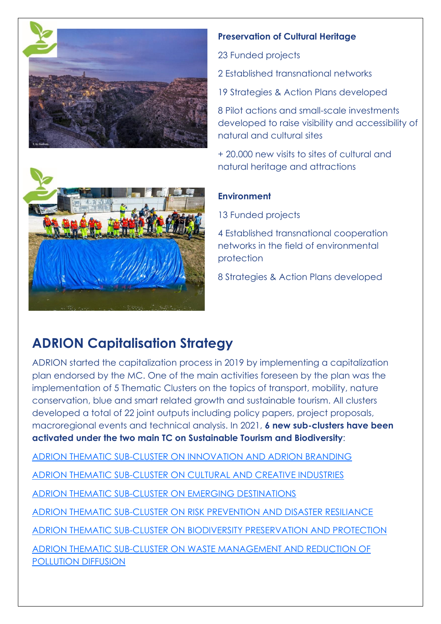

#### **Preservation of Cultural Heritage**

23 Funded projects

2 Established transnational networks

19 Strategies & Action Plans developed

8 Pilot actions and small-scale investments developed to raise visibility and accessibility of natural and cultural sites

+ 20.000 new visits to sites of cultural and natural heritage and attractions

#### **Environment**

13 Funded projects

4 Established transnational cooperation networks in the field of environmental protection

8 Strategies & Action Plans developed



# **ADRION Capitalisation Strategy**

ADRION started the capitalization process in 2019 by implementing a capitalization plan endorsed by the MC. One of the main activities foreseen by the plan was the implementation of 5 Thematic Clusters on the topics of transport, mobility, nature conservation, blue and smart related growth and sustainable tourism. All clusters developed a total of 22 joint outputs including policy papers, project proposals, macroregional events and technical analysis. In 2021, **6 new sub-clusters have been activated under the two main TC on Sustainable Tourism and Biodiversity**:

[ADRION THEMATIC SUB-CLUSTER ON INNOVATION AND ADRION BRANDING](https://www.adrioninterreg.eu/index.php/2021/11/05/adrion-thematic-sub-cluster-on-innovation-and-adrion-branding/)

[ADRION THEMATIC SUB-CLUSTER ON CULTURAL AND CREATIVE INDUSTRIES](https://www.adrioninterreg.eu/index.php/2021/11/05/adrion-thematic-sub-cluster-on-cultural-and-creative-industries/)

[ADRION THEMATIC SUB-CLUSTER ON EMERGING DESTINATIONS](https://www.adrioninterreg.eu/index.php/2021/11/05/adrion-thematic-sub-cluster-on-emerging-destinations/)

[ADRION THEMATIC SUB-CLUSTER ON RISK PREVENTION AND DISASTER RESILIANCE](ADRION%20THEMATIC%20SUB-CLUSTER%20ON%20RISK%20PREVENTION%20AND%20DISASTER%20RESILIANCE)

[ADRION THEMATIC SUB-CLUSTER ON BIODIVERSITY PRESERVATION AND PROTECTION](https://www.adrioninterreg.eu/index.php/2021/11/05/adrion-thematic-sub-cluster-on-biodiversity-preservation-and-protection-2/)

[ADRION THEMATIC SUB-CLUSTER ON WASTE MANAGEMENT AND REDUCTION OF](ADRION%20THEMATIC%20SUB-CLUSTER%20ON%20WASTE%20MANAGEMENT%20AND%20REDUCTION%20OF%20POLLUTION%20DIFFUSION)  [POLLUTION DIFFUSION](ADRION%20THEMATIC%20SUB-CLUSTER%20ON%20WASTE%20MANAGEMENT%20AND%20REDUCTION%20OF%20POLLUTION%20DIFFUSION)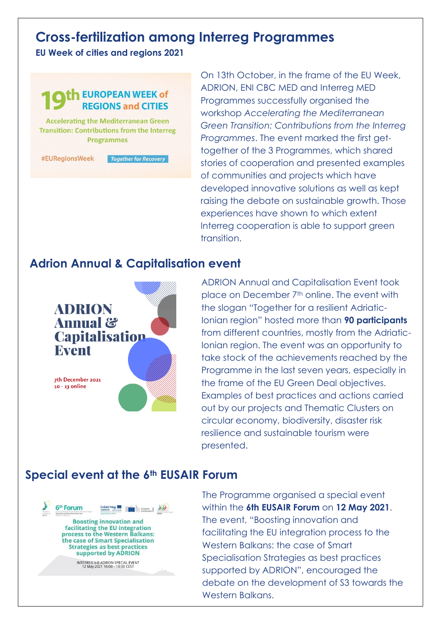# **Cross-fertilization among Interreg Programmes**

**EU Week of cities and regions 2021**



On 13th October, in the frame of the EU Week, ADRION, ENI CBC MED and Interreg MED Programmes successfully organised the workshop *Accelerating the Mediterranean Green Transition: Contributions from the Interreg Programmes*. The event marked the first gettogether of the 3 Programmes, which shared stories of cooperation and presented examples of communities and projects which have developed innovative solutions as well as kept raising the debate on sustainable growth. Those experiences have shown to which extent Interreg cooperation is able to support green transition.

#### **Adrion Annual & Capitalisation event**



ADRION Annual and Capitalisation Event took place on December 7<sup>th</sup> online. The event with the slogan "Together for a resilient Adriatic-Ionian region" hosted more than **90 participants** from different countries, mostly from the Adriatic-Ionian region. The event was an opportunity to take stock of the achievements reached by the Programme in the last seven years, especially in the frame of the EU Green Deal objectives. Examples of best practices and actions carried out by our projects and Thematic Clusters on circular economy, biodiversity, disaster risk resilience and sustainable tourism were presented.

#### **Special event at the 6th EUSAIR Forum**



The Programme organised a special event within the **6th EUSAIR Forum** on **12 May 2021**. The event, "Boosting innovation and facilitating the EU integration process to the Western Balkans: the case of Smart Specialisation Strategies as best practices supported by ADRION", encouraged the debate on the development of S3 towards the Western Balkans.